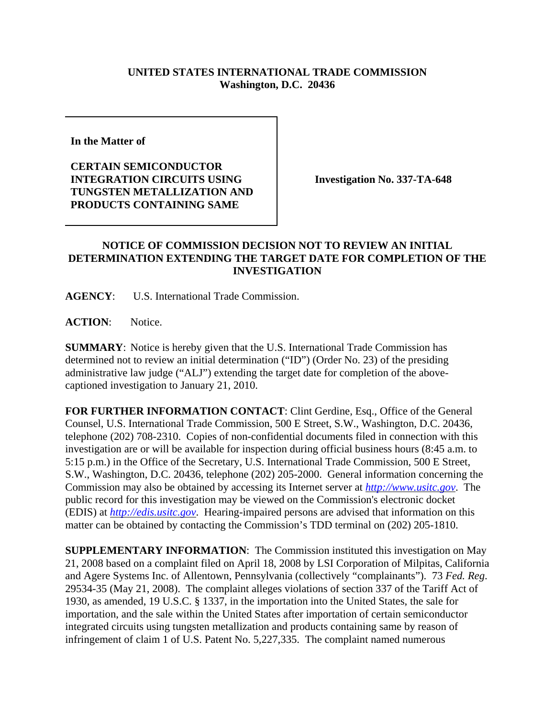## **UNITED STATES INTERNATIONAL TRADE COMMISSION Washington, D.C. 20436**

**In the Matter of** 

**CERTAIN SEMICONDUCTOR INTEGRATION CIRCUITS USING TUNGSTEN METALLIZATION AND PRODUCTS CONTAINING SAME**

**Investigation No. 337-TA-648**

## **NOTICE OF COMMISSION DECISION NOT TO REVIEW AN INITIAL DETERMINATION EXTENDING THE TARGET DATE FOR COMPLETION OF THE INVESTIGATION**

**AGENCY**: U.S. International Trade Commission.

**ACTION**: Notice.

**SUMMARY**: Notice is hereby given that the U.S. International Trade Commission has determined not to review an initial determination ("ID") (Order No. 23) of the presiding administrative law judge ("ALJ") extending the target date for completion of the abovecaptioned investigation to January 21, 2010.

**FOR FURTHER INFORMATION CONTACT**: Clint Gerdine, Esq., Office of the General Counsel, U.S. International Trade Commission, 500 E Street, S.W., Washington, D.C. 20436, telephone (202) 708-2310. Copies of non-confidential documents filed in connection with this investigation are or will be available for inspection during official business hours (8:45 a.m. to 5:15 p.m.) in the Office of the Secretary, U.S. International Trade Commission, 500 E Street, S.W., Washington, D.C. 20436, telephone (202) 205-2000. General information concerning the Commission may also be obtained by accessing its Internet server at *http://www.usitc.gov*. The public record for this investigation may be viewed on the Commission's electronic docket (EDIS) at *http://edis.usitc.gov*. Hearing-impaired persons are advised that information on this matter can be obtained by contacting the Commission's TDD terminal on (202) 205-1810.

**SUPPLEMENTARY INFORMATION**: The Commission instituted this investigation on May 21, 2008 based on a complaint filed on April 18, 2008 by LSI Corporation of Milpitas, California and Agere Systems Inc. of Allentown, Pennsylvania (collectively "complainants"). 73 *Fed. Reg*. 29534-35 (May 21, 2008). The complaint alleges violations of section 337 of the Tariff Act of 1930, as amended, 19 U.S.C. § 1337, in the importation into the United States, the sale for importation, and the sale within the United States after importation of certain semiconductor integrated circuits using tungsten metallization and products containing same by reason of infringement of claim 1 of U.S. Patent No. 5,227,335. The complaint named numerous